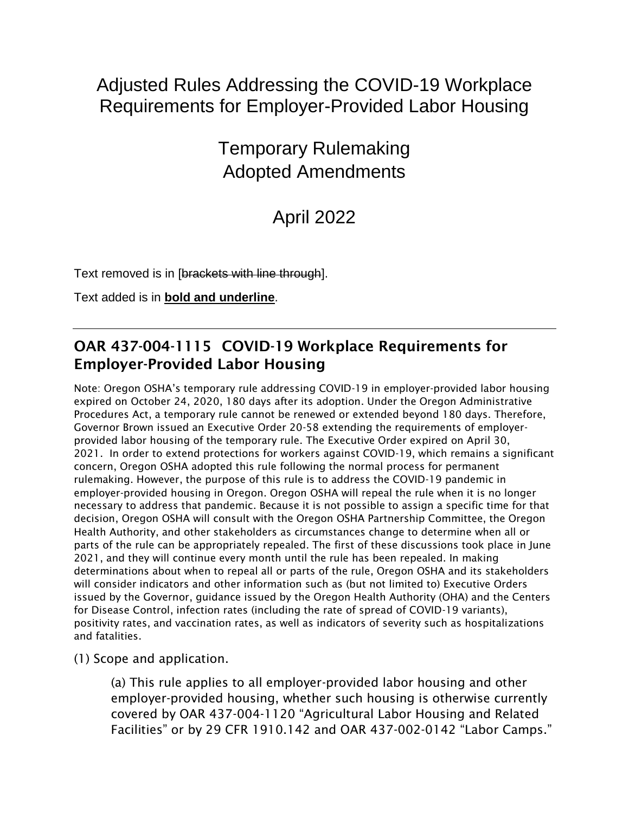## Adjusted Rules Addressing the COVID-19 Workplace Requirements for Employer-Provided Labor Housing

## Temporary Rulemaking Adopted Amendments

# April 2022

Text removed is in [brackets with line through].

Text added is in **bold and underline**.

### OAR 437-004-1115 COVID-19 Workplace Requirements for Employer-Provided Labor Housing

Note: Oregon OSHA's temporary rule addressing COVID-19 in employer-provided labor housing expired on October 24, 2020, 180 days after its adoption. Under the Oregon Administrative Procedures Act, a temporary rule cannot be renewed or extended beyond 180 days. Therefore, Governor Brown issued an Executive Order 20-58 extending the requirements of employerprovided labor housing of the temporary rule. The Executive Order expired on April 30, 2021. In order to extend protections for workers against COVID-19, which remains a significant concern, Oregon OSHA adopted this rule following the normal process for permanent rulemaking. However, the purpose of this rule is to address the COVID-19 pandemic in employer-provided housing in Oregon. Oregon OSHA will repeal the rule when it is no longer necessary to address that pandemic. Because it is not possible to assign a specific time for that decision, Oregon OSHA will consult with the Oregon OSHA Partnership Committee, the Oregon Health Authority, and other stakeholders as circumstances change to determine when all or parts of the rule can be appropriately repealed. The first of these discussions took place in June 2021, and they will continue every month until the rule has been repealed. In making determinations about when to repeal all or parts of the rule, Oregon OSHA and its stakeholders will consider indicators and other information such as (but not limited to) Executive Orders issued by the Governor, guidance issued by the Oregon Health Authority (OHA) and the Centers for Disease Control, infection rates (including the rate of spread of COVID-19 variants), positivity rates, and vaccination rates, as well as indicators of severity such as hospitalizations and fatalities.

(1) Scope and application.

(a) This rule applies to all employer-provided labor housing and other employer-provided housing, whether such housing is otherwise currently covered by OAR 437-004-1120 "Agricultural Labor Housing and Related Facilities" or by 29 CFR 1910.142 and OAR 437-002-0142 "Labor Camps."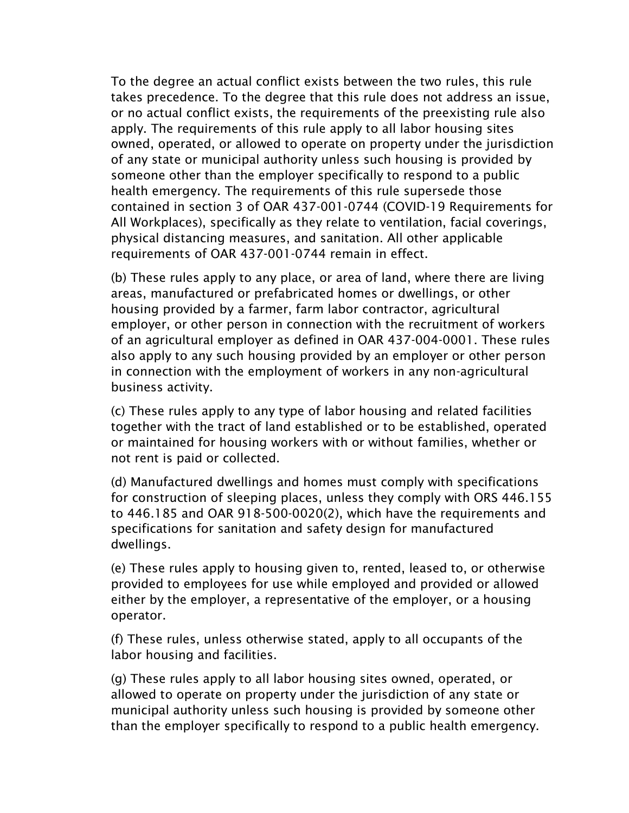To the degree an actual conflict exists between the two rules, this rule takes precedence. To the degree that this rule does not address an issue, or no actual conflict exists, the requirements of the preexisting rule also apply. The requirements of this rule apply to all labor housing sites owned, operated, or allowed to operate on property under the jurisdiction of any state or municipal authority unless such housing is provided by someone other than the employer specifically to respond to a public health emergency. The requirements of this rule supersede those contained in section 3 of OAR 437-001-0744 (COVID-19 Requirements for All Workplaces), specifically as they relate to ventilation, facial coverings, physical distancing measures, and sanitation. All other applicable requirements of OAR 437-001-0744 remain in effect.

(b) These rules apply to any place, or area of land, where there are living areas, manufactured or prefabricated homes or dwellings, or other housing provided by a farmer, farm labor contractor, agricultural employer, or other person in connection with the recruitment of workers of an agricultural employer as defined in OAR 437-004-0001. These rules also apply to any such housing provided by an employer or other person in connection with the employment of workers in any non-agricultural business activity.

(c) These rules apply to any type of labor housing and related facilities together with the tract of land established or to be established, operated or maintained for housing workers with or without families, whether or not rent is paid or collected.

(d) Manufactured dwellings and homes must comply with specifications for construction of sleeping places, unless they comply with ORS 446.155 to 446.185 and OAR 918-500-0020(2), which have the requirements and specifications for sanitation and safety design for manufactured dwellings.

(e) These rules apply to housing given to, rented, leased to, or otherwise provided to employees for use while employed and provided or allowed either by the employer, a representative of the employer, or a housing operator.

(f) These rules, unless otherwise stated, apply to all occupants of the labor housing and facilities.

(g) These rules apply to all labor housing sites owned, operated, or allowed to operate on property under the jurisdiction of any state or municipal authority unless such housing is provided by someone other than the employer specifically to respond to a public health emergency.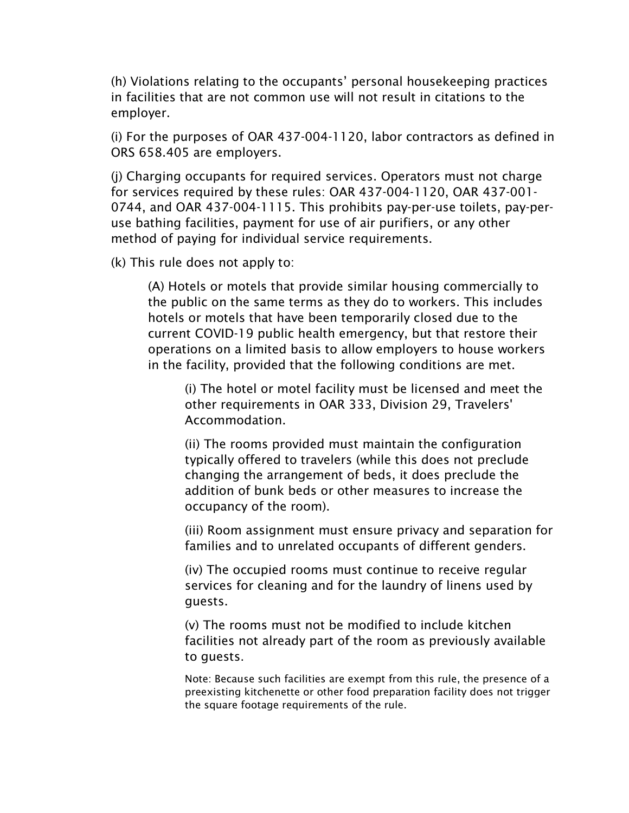(h) Violations relating to the occupants' personal housekeeping practices in facilities that are not common use will not result in citations to the employer.

(i) For the purposes of OAR 437-004-1120, labor contractors as defined in ORS 658.405 are employers.

(j) Charging occupants for required services. Operators must not charge for services required by these rules: OAR 437-004-1120, OAR 437-001- 0744, and OAR 437-004-1115. This prohibits pay-per-use toilets, pay-peruse bathing facilities, payment for use of air purifiers, or any other method of paying for individual service requirements.

(k) This rule does not apply to:

(A) Hotels or motels that provide similar housing commercially to the public on the same terms as they do to workers. This includes hotels or motels that have been temporarily closed due to the current COVID-19 public health emergency, but that restore their operations on a limited basis to allow employers to house workers in the facility, provided that the following conditions are met.

(i) The hotel or motel facility must be licensed and meet the other requirements in OAR 333, Division 29, Travelers' Accommodation.

(ii) The rooms provided must maintain the configuration typically offered to travelers (while this does not preclude changing the arrangement of beds, it does preclude the addition of bunk beds or other measures to increase the occupancy of the room).

(iii) Room assignment must ensure privacy and separation for families and to unrelated occupants of different genders.

(iv) The occupied rooms must continue to receive regular services for cleaning and for the laundry of linens used by guests.

(v) The rooms must not be modified to include kitchen facilities not already part of the room as previously available to guests.

Note: Because such facilities are exempt from this rule, the presence of a preexisting kitchenette or other food preparation facility does not trigger the square footage requirements of the rule.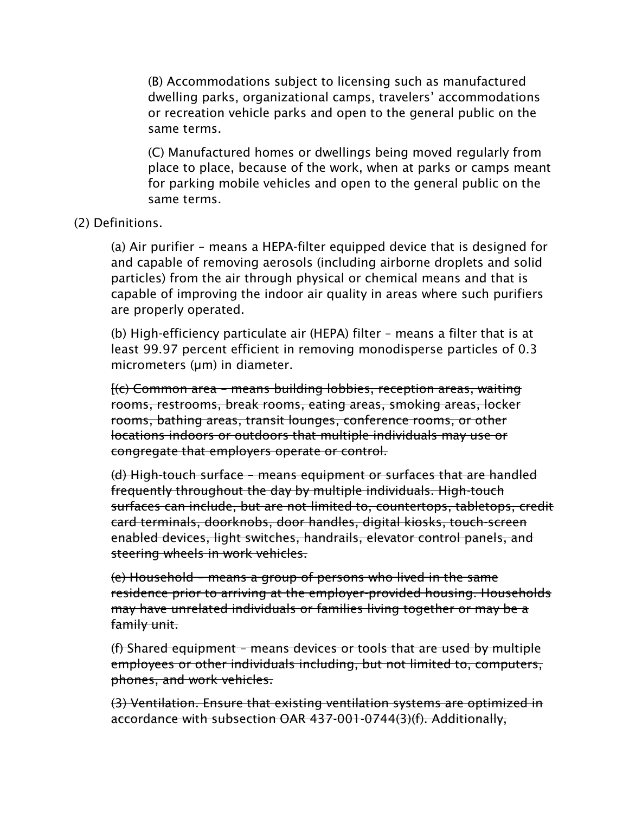(B) Accommodations subject to licensing such as manufactured dwelling parks, organizational camps, travelers' accommodations or recreation vehicle parks and open to the general public on the same terms.

(C) Manufactured homes or dwellings being moved regularly from place to place, because of the work, when at parks or camps meant for parking mobile vehicles and open to the general public on the same terms.

#### (2) Definitions.

(a) Air purifier – means a HEPA-filter equipped device that is designed for and capable of removing aerosols (including airborne droplets and solid particles) from the air through physical or chemical means and that is capable of improving the indoor air quality in areas where such purifiers are properly operated.

(b) High-efficiency particulate air (HEPA) filter – means a filter that is at least 99.97 percent efficient in removing monodisperse particles of 0.3 micrometers (um) in diameter.

[(c) Common area – means building lobbies, reception areas, waiting rooms, restrooms, break rooms, eating areas, smoking areas, locker rooms, bathing areas, transit lounges, conference rooms, or other locations indoors or outdoors that multiple individuals may use or congregate that employers operate or control.

(d) High-touch surface – means equipment or surfaces that are handled frequently throughout the day by multiple individuals. High-touch surfaces can include, but are not limited to, countertops, tabletops, credit card terminals, doorknobs, door handles, digital kiosks, touch-screen enabled devices, light switches, handrails, elevator control panels, and steering wheels in work vehicles.

(e) Household – means a group of persons who lived in the same residence prior to arriving at the employer-provided housing. Households may have unrelated individuals or families living together or may be a family unit.

(f) Shared equipment – means devices or tools that are used by multiple employees or other individuals including, but not limited to, computers, phones, and work vehicles.

(3) Ventilation. Ensure that existing ventilation systems are optimized in accordance with subsection OAR 437-001-0744(3)(f). Additionally,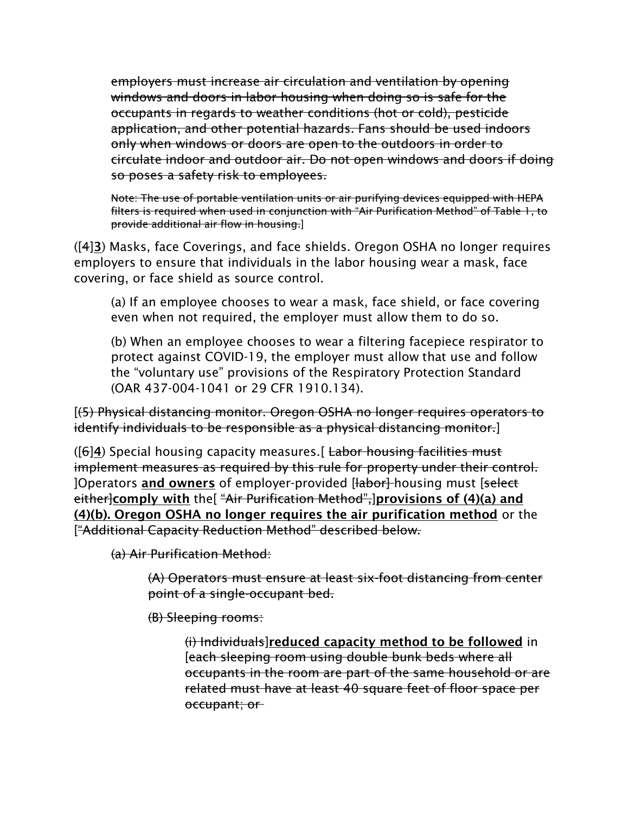employers must increase air circulation and ventilation by opening windows and doors in labor housing when doing so is safe for the occupants in regards to weather conditions (hot or cold), pesticide application, and other potential hazards. Fans should be used indoors only when windows or doors are open to the outdoors in order to circulate indoor and outdoor air. Do not open windows and doors if doing so poses a safety risk to employees.

Note: The use of portable ventilation units or air purifying devices equipped with HEPA filters is required when used in conjunction with "Air Purification Method" of Table 1, to provide additional air flow in housing.]

([4]3) Masks, face Coverings, and face shields. Oregon OSHA no longer requires employers to ensure that individuals in the labor housing wear a mask, face covering, or face shield as source control.

(a) If an employee chooses to wear a mask, face shield, or face covering even when not required, the employer must allow them to do so.

(b) When an employee chooses to wear a filtering facepiece respirator to protect against COVID-19, the employer must allow that use and follow the "voluntary use" provisions of the Respiratory Protection Standard (OAR 437-004-1041 or 29 CFR 1910.134).

[(5) Physical distancing monitor. Oregon OSHA no longer requires operators to identify individuals to be responsible as a physical distancing monitor.]

 $([6]4)$  Special housing capacity measures. [ Labor housing facilities must implement measures as required by this rule for property under their control. ]Operators and owners of employer-provided [<del>labor]</del> housing must [select] either]comply with the[ "Air Purification Method", provisions of (4)(a) and (4)(b). Oregon OSHA no longer requires the air purification method or the ["Additional Capacity Reduction Method" described below.

(a) Air Purification Method:

(A) Operators must ensure at least six-foot distancing from center point of a single-occupant bed.

(B) Sleeping rooms:

(i) Individuals]reduced capacity method to be followed in [each sleeping room using double bunk beds where all occupants in the room are part of the same household or are related must have at least 40 square feet of floor space per occupant; or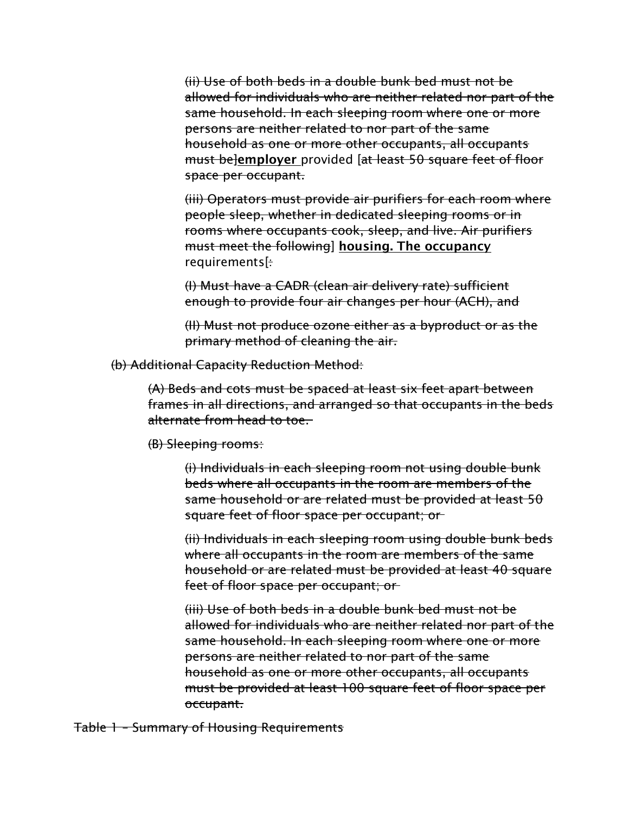(ii) Use of both beds in a double bunk bed must not be allowed for individuals who are neither related nor part of the same household. In each sleeping room where one or more persons are neither related to nor part of the same household as one or more other occupants, all occupants must belemployer provided [at least 50 square feet of floor space per occupant.

(iii) Operators must provide air purifiers for each room where people sleep, whether in dedicated sleeping rooms or in rooms where occupants cook, sleep, and live. Air purifiers must meet the following] housing. The occupancy requirements[:

(I) Must have a CADR (clean air delivery rate) sufficient enough to provide four air changes per hour (ACH), and

(II) Must not produce ozone either as a byproduct or as the primary method of cleaning the air.

(b) Additional Capacity Reduction Method:

(A) Beds and cots must be spaced at least six feet apart between frames in all directions, and arranged so that occupants in the beds alternate from head to toe.

(B) Sleeping rooms:

(i) Individuals in each sleeping room not using double bunk beds where all occupants in the room are members of the same household or are related must be provided at least 50 square feet of floor space per occupant; or

(ii) Individuals in each sleeping room using double bunk beds where all occupants in the room are members of the same household or are related must be provided at least 40 square feet of floor space per occupant; or

(iii) Use of both beds in a double bunk bed must not be allowed for individuals who are neither related nor part of the same household. In each sleeping room where one or more persons are neither related to nor part of the same household as one or more other occupants, all occupants must be provided at least 100 square feet of floor space per occupant.

Table 1 – Summary of Housing Requirements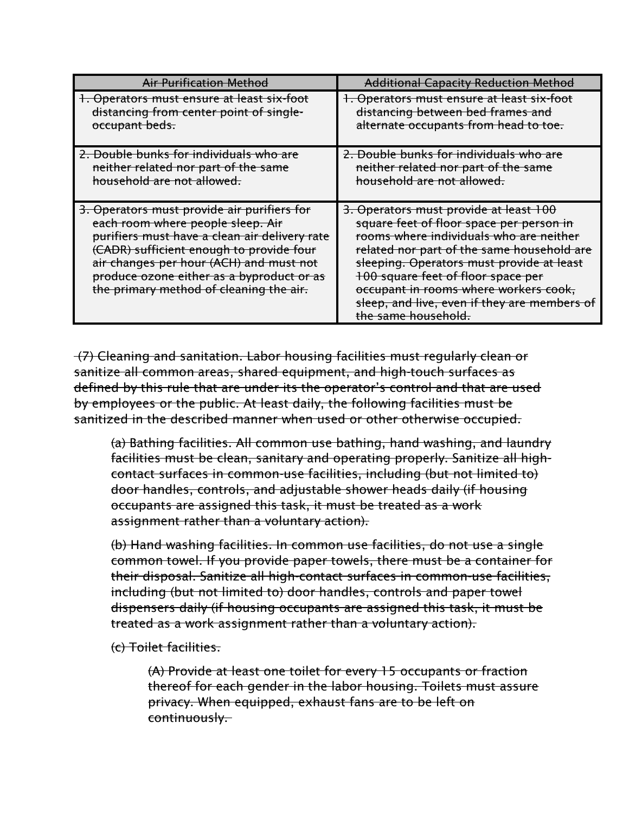| Air Purification Method                                                                                                                                                                                                                                                                                          | <b>Additional Capacity Reduction Method</b>                                                                                                                                                                                                                                                                                                                                    |
|------------------------------------------------------------------------------------------------------------------------------------------------------------------------------------------------------------------------------------------------------------------------------------------------------------------|--------------------------------------------------------------------------------------------------------------------------------------------------------------------------------------------------------------------------------------------------------------------------------------------------------------------------------------------------------------------------------|
| 1. Operators must ensure at least six-foot                                                                                                                                                                                                                                                                       | 1. Operators must ensure at least six-foot                                                                                                                                                                                                                                                                                                                                     |
| distancing from center point of single-                                                                                                                                                                                                                                                                          | distancing between bed frames and                                                                                                                                                                                                                                                                                                                                              |
| occupant beds.                                                                                                                                                                                                                                                                                                   | alternate occupants from head to toe.                                                                                                                                                                                                                                                                                                                                          |
| 2. Double bunks for individuals who are                                                                                                                                                                                                                                                                          | 2. Double bunks for individuals who are                                                                                                                                                                                                                                                                                                                                        |
| neither related nor part of the same                                                                                                                                                                                                                                                                             | neither related nor part of the same                                                                                                                                                                                                                                                                                                                                           |
| household are not allowed.                                                                                                                                                                                                                                                                                       | household are not allowed.                                                                                                                                                                                                                                                                                                                                                     |
| 3. Operators must provide air purifiers for<br>each room where people sleep. Air<br>purifiers must have a clean air delivery rate<br>(CADR) sufficient enough to provide four<br>air changes per hour (ACH) and must not<br>produce ozone either as a byproduct or as<br>the primary method of cleaning the air. | 3. Operators must provide at least 100<br>square feet of floor space per person in<br>rooms where individuals who are neither<br>related nor part of the same household are<br>sleeping. Operators must provide at least<br>100 square feet of floor space per<br>occupant in rooms where workers cook,<br>sleep, and live, even if they are members of<br>the same household. |

(7) Cleaning and sanitation. Labor housing facilities must regularly clean or sanitize all common areas, shared equipment, and high-touch surfaces as defined by this rule that are under its the operator's control and that are used by employees or the public. At least daily, the following facilities must be sanitized in the described manner when used or other otherwise occupied.

(a) Bathing facilities. All common use bathing, hand washing, and laundry facilities must be clean, sanitary and operating properly. Sanitize all highcontact surfaces in common-use facilities, including (but not limited to) door handles, controls, and adjustable shower heads daily (if housing occupants are assigned this task, it must be treated as a work assignment rather than a voluntary action).

(b) Hand washing facilities. In common use facilities, do not use a single common towel. If you provide paper towels, there must be a container for their disposal. Sanitize all high-contact surfaces in common-use facilities, including (but not limited to) door handles, controls and paper towel dispensers daily (if housing occupants are assigned this task, it must be treated as a work assignment rather than a voluntary action).

(c) Toilet facilities.

(A) Provide at least one toilet for every 15 occupants or fraction thereof for each gender in the labor housing. Toilets must assure privacy. When equipped, exhaust fans are to be left on continuously.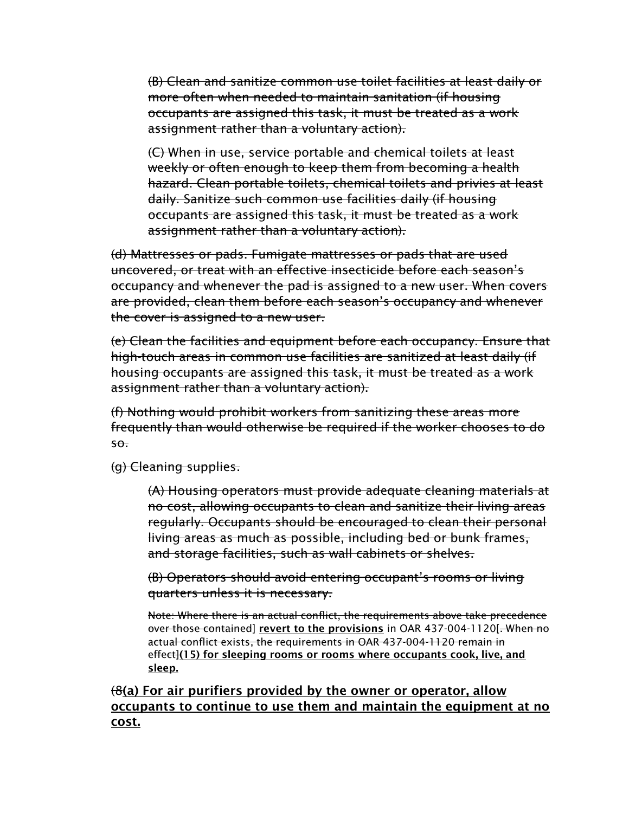(B) Clean and sanitize common use toilet facilities at least daily or more often when needed to maintain sanitation (if housing occupants are assigned this task, it must be treated as a work assignment rather than a voluntary action).

(C) When in use, service portable and chemical toilets at least weekly or often enough to keep them from becoming a health hazard. Clean portable toilets, chemical toilets and privies at least daily. Sanitize such common use facilities daily (if housing occupants are assigned this task, it must be treated as a work assignment rather than a voluntary action).

(d) Mattresses or pads. Fumigate mattresses or pads that are used uncovered, or treat with an effective insecticide before each season's occupancy and whenever the pad is assigned to a new user. When covers are provided, clean them before each season's occupancy and whenever the cover is assigned to a new user.

(e) Clean the facilities and equipment before each occupancy. Ensure that high-touch areas in common use facilities are sanitized at least daily (if housing occupants are assigned this task, it must be treated as a work assignment rather than a voluntary action).

(f) Nothing would prohibit workers from sanitizing these areas more frequently than would otherwise be required if the worker chooses to do so.

(g) Cleaning supplies.

(A) Housing operators must provide adequate cleaning materials at no cost, allowing occupants to clean and sanitize their living areas regularly. Occupants should be encouraged to clean their personal living areas as much as possible, including bed or bunk frames, and storage facilities, such as wall cabinets or shelves.

(B) Operators should avoid entering occupant's rooms or living quarters unless it is necessary.

Note: Where there is an actual conflict, the requirements above take precedence over those contained] revert to the provisions in OAR 437-004-1120[. When no actual conflict exists, the requirements in OAR 437-004-1120 remain in effect](15) for sleeping rooms or rooms where occupants cook, live, and sleep.

 $(8)$  For air purifiers provided by the owner or operator, allow occupants to continue to use them and maintain the equipment at no cost.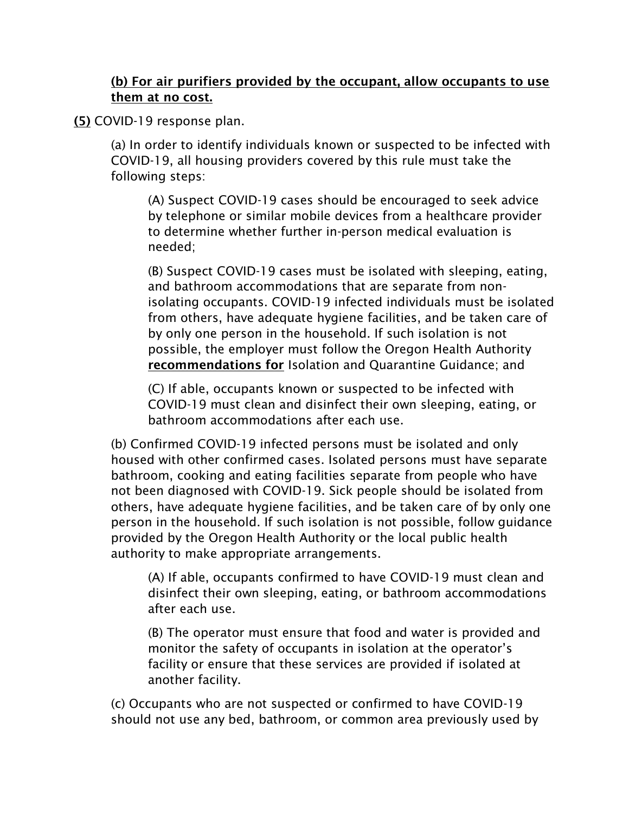### (b) For air purifiers provided by the occupant, allow occupants to use them at no cost.

(5) COVID-19 response plan.

(a) In order to identify individuals known or suspected to be infected with COVID-19, all housing providers covered by this rule must take the following steps:

(A) Suspect COVID-19 cases should be encouraged to seek advice by telephone or similar mobile devices from a healthcare provider to determine whether further in-person medical evaluation is needed;

(B) Suspect COVID-19 cases must be isolated with sleeping, eating, and bathroom accommodations that are separate from nonisolating occupants. COVID-19 infected individuals must be isolated from others, have adequate hygiene facilities, and be taken care of by only one person in the household. If such isolation is not possible, the employer must follow the Oregon Health Authority recommendations for Isolation and Quarantine Guidance; and

(C) If able, occupants known or suspected to be infected with COVID-19 must clean and disinfect their own sleeping, eating, or bathroom accommodations after each use.

(b) Confirmed COVID-19 infected persons must be isolated and only housed with other confirmed cases. Isolated persons must have separate bathroom, cooking and eating facilities separate from people who have not been diagnosed with COVID-19. Sick people should be isolated from others, have adequate hygiene facilities, and be taken care of by only one person in the household. If such isolation is not possible, follow guidance provided by the Oregon Health Authority or the local public health authority to make appropriate arrangements.

(A) If able, occupants confirmed to have COVID-19 must clean and disinfect their own sleeping, eating, or bathroom accommodations after each use.

(B) The operator must ensure that food and water is provided and monitor the safety of occupants in isolation at the operator's facility or ensure that these services are provided if isolated at another facility.

(c) Occupants who are not suspected or confirmed to have COVID-19 should not use any bed, bathroom, or common area previously used by